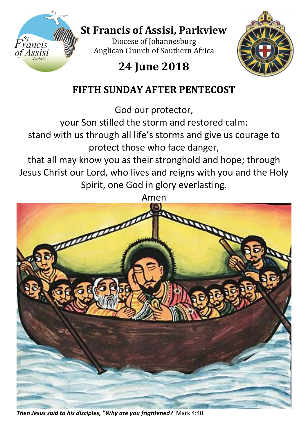

## **St Francis of Assisi, Parkview**

Diocese of Johannesburg Anglican Church of Southern Africa

# **24 June 2018**



## **FIFTH SUNDAY AFTER PENTECOST**

God our protector,

your Son stilled the storm and restored calm: stand with us through all life's storms and give us courage to protect those who face danger,

that all may know you as their stronghold and hope; through Jesus Christ our Lord, who lives and reigns with you and the Holy Spirit, one God in glory everlasting.

Amen



*Then Jesus said to his disciples, "Why are you frightened?* Mark 4:40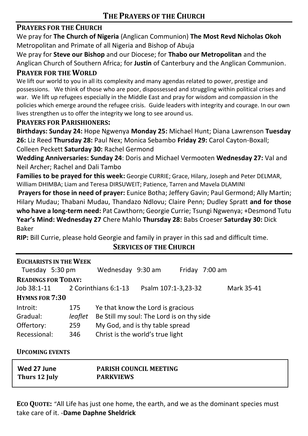#### **PRAYERS FOR THE CHURCH**

We pray for **The Church of Nigeria** (Anglican Communion) **The Most Revd Nicholas Okoh** Metropolitan and Primate of all Nigeria and Bishop of Abuja

We pray for **Steve our Bishop** and our Diocese; for **Thabo our Metropolitan** and the Anglican Church of Southern Africa; for **Justin** of Canterbury and the Anglican Communion. **PRAYER FOR THE WORLD**

#### We lift our world to you in all its complexity and many agendas related to power, prestige and possessions. We think of those who are poor, dispossessed and struggling within political crises and war. We lift up refugees especially in the Middle East and pray for wisdom and compassion in the policies which emerge around the refugee crisis. Guide leaders with integrity and courage. In our own lives strengthen us to offer the integrity we long to see around us.

#### **PRAYERS FOR PARISHIONERS:**

**Birthdays: Sunday 24:** Hope Ngwenya **Monday 25:** Michael Hunt; Diana Lawrenson **Tuesday 26:** Liz Reed **Thursday 28:** Paul Nex; Monica Sebambo **Friday 29:** Carol Cayton-Boxall; Colleen Peckett **Saturday 30:** Rachel Germond

**Wedding Anniversaries: Sunday 24**: Doris and Michael Vermooten **Wednesday 27:** Val and Neil Archer; Rachel and Dali Tambo

**Families to be prayed for this week:** Georgie CURRIE; Grace, Hilary, Joseph and Peter DELMAR, William DHIMBA; Liam and Teresa DIRSUWEIT; Patience, Tarren and Mavela DLAMINI

**Prayers for those in need of prayer:** Eunice Botha; Jeffery Gavin; Paul Germond; Ally Martin; Hilary Mudau; Thabani Mudau, Thandazo Ndlovu; Claire Penn; Dudley Spratt **and for those who have a long-term need:** Pat Cawthorn; Georgie Currie; Tsungi Ngwenya; +Desmond Tutu **Year's Mind: Wednesday 27** Chere Mahlo **Thursday 28:** Babs Croeser **Saturday 30:** Dick Baker

**RIP:** Bill Currie, please hold Georgie and family in prayer in this sad and difficult time.

#### **SERVICES OF THE CHURCH**

| <b>EUCHARISTS IN THE WEEK</b> |  |
|-------------------------------|--|
|-------------------------------|--|

| EUCHARISTS IN THE WEEK     |         |                      |                                           |  |                |            |
|----------------------------|---------|----------------------|-------------------------------------------|--|----------------|------------|
| Tuesday 5:30 pm            |         | Wednesday 9:30 am    |                                           |  | Friday 7:00 am |            |
| <b>READINGS FOR TODAY:</b> |         |                      |                                           |  |                |            |
| Job 38:1-11                |         | 2 Corinthians 6:1-13 | Psalm 107:1-3,23-32                       |  |                | Mark 35-41 |
| <b>HYMNS FOR 7:30</b>      |         |                      |                                           |  |                |            |
| Introit:                   | 175     |                      | Ye that know the Lord is gracious         |  |                |            |
| Gradual:                   | leaflet |                      | Be Still my soul: The Lord is on thy side |  |                |            |
| Offertory:                 | 259     |                      | My God, and is thy table spread           |  |                |            |
| Recessional:               | 346     |                      | Christ is the world's true light          |  |                |            |

#### **UPCOMING EVENTS**

| Wed 27 June   | <b>PARISH COUNCIL MEETING</b> |
|---------------|-------------------------------|
| Thurs 12 July | <b>PARKVIEWS</b>              |

**ECO QUOTE:** "All Life has just one home, the earth, and we as the dominant species must take care of it. -**Dame Daphne Sheldrick**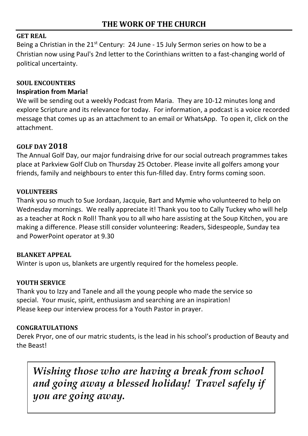#### **GET REAL**

Being a Christian in the 21st Century: 24 June - 15 July Sermon series on how to be a Christian now using Paul's 2nd letter to the Corinthians written to a fast-changing world of political uncertainty.

#### **SOUL ENCOUNTERS Inspiration from Maria!**

We will be sending out a weekly Podcast from Maria. They are 10-12 minutes long and explore Scripture and its relevance for today. For information, a podcast is a voice recorded message that comes up as an attachment to an email or WhatsApp. To open it, click on the attachment.

#### **GOLF DAY 2018**

The Annual Golf Day, our major fundraising drive for our social outreach programmes takes place at Parkview Golf Club on Thursday 25 October. Please invite all golfers among your friends, family and neighbours to enter this fun-filled day. Entry forms coming soon.

#### **VOLUNTEERS**

Thank you so much to Sue Jordaan, Jacquie, Bart and Mymie who volunteered to help on Wednesday mornings. We really appreciate it! Thank you too to Cally Tuckey who will help as a teacher at Rock n Roll! Thank you to all who hare assisting at the Soup Kitchen, you are making a difference. Please still consider volunteering: Readers, Sidespeople, Sunday tea and PowerPoint operator at 9.30

#### **BLANKET APPEAL**

Winter is upon us, blankets are urgently required for the homeless people.

#### **YOUTH SERVICE**

Thank you to Izzy and Tanele and all the young people who made the service so special. Your music, spirit, enthusiasm and searching are an inspiration! Please keep our interview process for a Youth Pastor in prayer.

#### **CONGRATULATIONS**

Derek Pryor, one of our matric students, is the lead in his school's production of Beauty and the Beast!

*Wishing those who are having a break from school and going away a blessed holiday! Travel safely if you are going away.*